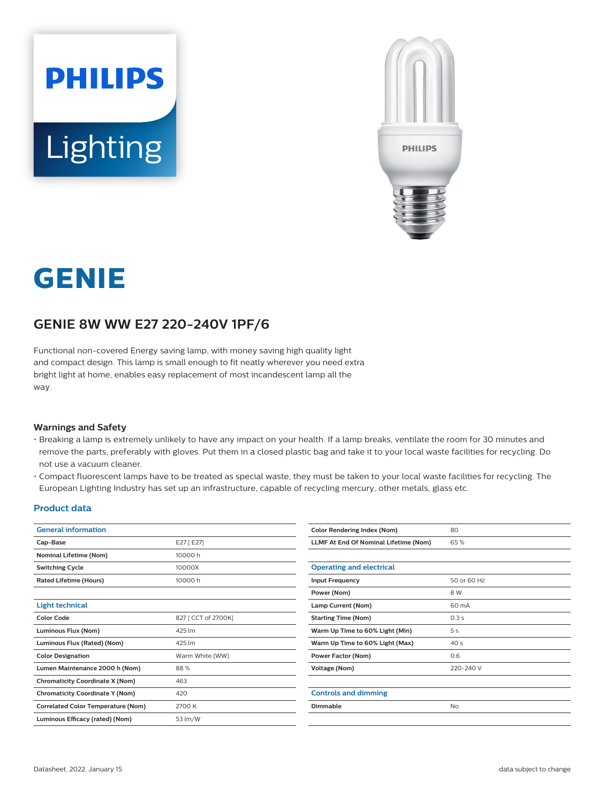



# **GENIE**

## **GENIE 8W WW E27 220-240V 1PF/6**

Functional non-covered Energy saving lamp, with money saving high quality light and compact design. This lamp is small enough to fit neatly wherever you need extra bright light at home, enables easy replacement of most incandescent lamp all the way.

#### **Warnings and Safety**

- Breaking a lamp is extremely unlikely to have any impact on your health. If a lamp breaks, ventilate the room for 30 minutes and remove the parts, preferably with gloves. Put them in a closed plastic bag and take it to your local waste facilities for recycling. Do not use a vacuum cleaner.
- Compact fluorescent lamps have to be treated as special waste, they must be taken to your local waste facilities for recycling. The European Lighting Industry has set up an infrastructure, capable of recycling mercury, other metals, glass etc.

#### **Product data**

| <b>General information</b>                |                     | <b>Color Rendering Index (Nom)</b>     |
|-------------------------------------------|---------------------|----------------------------------------|
| Cap-Base                                  | E27 [ E27]          | <b>LLMF At End Of Nominal Lifetime</b> |
| <b>Nominal Lifetime (Nom)</b>             | 10000 h             |                                        |
| <b>Switching Cycle</b>                    | 10000X              | <b>Operating and electrical</b>        |
| <b>Rated Lifetime (Hours)</b>             | 10000 h             | <b>Input Frequency</b>                 |
|                                           |                     | Power (Nom)                            |
| <b>Light technical</b>                    |                     | Lamp Current (Nom)                     |
| <b>Color Code</b>                         | 827 [ CCT of 2700K] | <b>Starting Time (Nom)</b>             |
| Luminous Flux (Nom)                       | 425 lm              | Warm Up Time to 60% Light (Min)        |
| Luminous Flux (Rated) (Nom)               | 425 lm              | Warm Up Time to 60% Light (Max         |
| <b>Color Designation</b>                  | Warm White (WW)     | <b>Power Factor (Nom)</b>              |
| Lumen Maintenance 2000 h (Nom)            | 88%                 | <b>Voltage (Nom)</b>                   |
| <b>Chromaticity Coordinate X (Nom)</b>    | 463                 |                                        |
| <b>Chromaticity Coordinate Y (Nom)</b>    | 420                 | <b>Controls and dimming</b>            |
| <b>Correlated Color Temperature (Nom)</b> | 2700 K              | <b>Dimmable</b>                        |
| Luminous Efficacy (rated) (Nom)           | 53 lm/W             |                                        |
|                                           |                     |                                        |

| <b>Color Rendering Index (Nom)</b>    | 80              |
|---------------------------------------|-----------------|
| LLMF At End Of Nominal Lifetime (Nom) | 65%             |
|                                       |                 |
| <b>Operating and electrical</b>       |                 |
| <b>Input Frequency</b>                | 50 or 60 Hz     |
| Power (Nom)                           | 8 W             |
| Lamp Current (Nom)                    | 60 mA           |
| <b>Starting Time (Nom)</b>            | 0.3s            |
| Warm Up Time to 60% Light (Min)       | 5 <sub>s</sub>  |
| Warm Up Time to 60% Light (Max)       | 40 <sub>s</sub> |
| Power Factor (Nom)                    | 0.6             |
| Voltage (Nom)                         | 220-240 V       |
|                                       |                 |
| <b>Controls and dimming</b>           |                 |
| Dimmable                              | No              |
|                                       |                 |